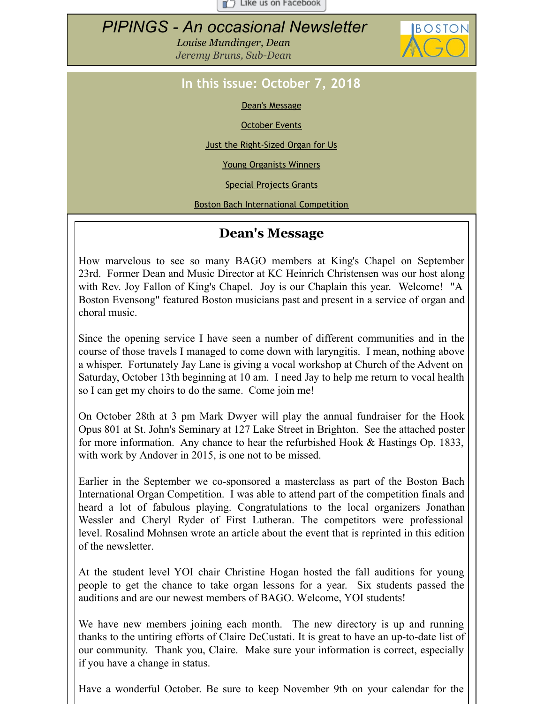$\Box$  Like us on Facebook

# <span id="page-0-0"></span>*PIPINGS - An occasional Newsletter*

*Louise Mundinger, Dean Jeremy Bruns, Sub-Dean*



## **In this issue: October 7, 2018**

Dean's [Message](#page-0-0)

**[October](#page-0-0) Events** 

Just the [Right-Sized](#page-0-0) Organ for Us

Young [Organists](#page-0-0) Winners

Special [Projects](#page-0-0) Grants

Boston Bach [International](#page-0-0) Competition

## **Dean's Message**

How marvelous to see so many BAGO members at King's Chapel on September 23rd. Former Dean and Music Director at KC Heinrich Christensen was our host along with Rev. Joy Fallon of King's Chapel. Joy is our Chaplain this year. Welcome! "A Boston Evensong" featured Boston musicians past and present in a service of organ and choral music.

Since the opening service I have seen a number of different communities and in the course of those travels I managed to come down with laryngitis. I mean, nothing above a whisper. Fortunately Jay Lane is giving a vocal workshop at Church of the Advent on Saturday, October 13th beginning at 10 am. I need Jay to help me return to vocal health so I can get my choirs to do the same. Come join me!

On October 28th at 3 pm Mark Dwyer will play the annual fundraiser for the Hook Opus 801 at St. John's Seminary at 127 Lake Street in Brighton. See the attached poster for more information. Any chance to hear the refurbished Hook & Hastings Op. 1833, with work by Andover in 2015, is one not to be missed.

Earlier in the September we co-sponsored a masterclass as part of the Boston Bach International Organ Competition. I was able to attend part of the competition finals and heard a lot of fabulous playing. Congratulations to the local organizers Jonathan Wessler and Cheryl Ryder of First Lutheran. The competitors were professional level. Rosalind Mohnsen wrote an article about the event that is reprinted in this edition of the newsletter.

At the student level YOI chair Christine Hogan hosted the fall auditions for young people to get the chance to take organ lessons for a year. Six students passed the auditions and are our newest members of BAGO. Welcome, YOI students!

We have new members joining each month. The new directory is up and running thanks to the untiring efforts of Claire DeCustati. It is great to have an up-to-date list of our community. Thank you, Claire. Make sure your information is correct, especially if you have a change in status.

Have a wonderful October. Be sure to keep November 9th on your calendar for the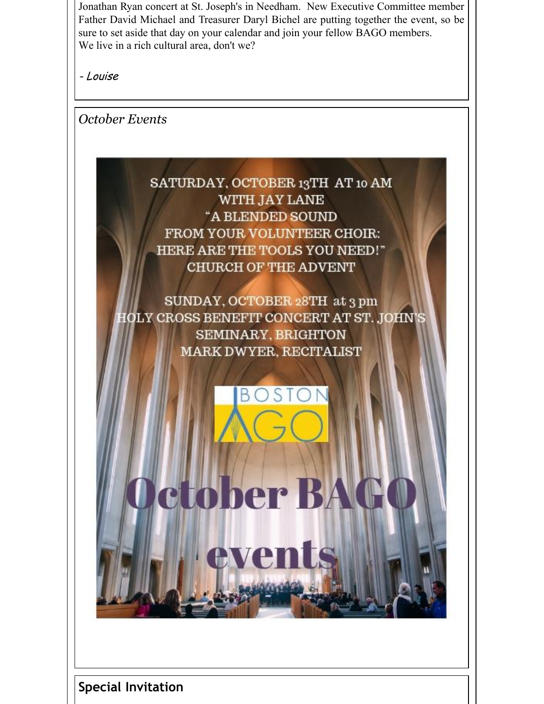Jonathan Ryan concert at St. Joseph's in Needham. New Executive Committee member Father David Michael and Treasurer Daryl Bichel are putting together the event, so be sure to set aside that day on your calendar and join your fellow BAGO members. We live in a rich cultural area, don't we?

- Louise

*October Events*



SUNDAY, OCTOBER 28TH at 3 pm HOLY CROSS BENEFIT CONCERT AT ST. JOHN'S SEMINARY, BRIGHTON **MARK DWYER, RECITALIST** 

В

ctober BAC

events

**Special Invitation**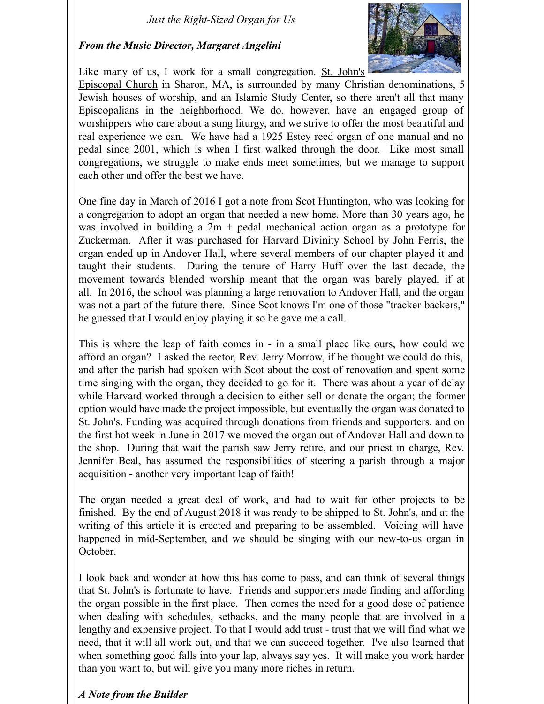#### *Just the Right-Sized Organ for Us*

#### *From the Music Director, Margaret Angelini*



Like many of us, I work for a small [congregation.](https://www.stjohnssharon.church) St. John's

Episcopal Church in Sharon, MA, is surrounded by many Christian denominations, 5 Jewish houses of worship, and an Islamic Study Center, so there aren't all that many Episcopalians in the neighborhood. We do, however, have an engaged group of worshippers who care about a sung liturgy, and we strive to offer the most beautiful and real experience we can. We have had a 1925 Estey reed organ of one manual and no pedal since 2001, which is when I first walked through the door. Like most small congregations, we struggle to make ends meet sometimes, but we manage to support each other and offer the best we have.

One fine day in March of 2016 I got a note from Scot Huntington, who was looking for a congregation to adopt an organ that needed a new home. More than 30 years ago, he was involved in building a 2m + pedal mechanical action organ as a prototype for Zuckerman. After it was purchased for Harvard Divinity School by John Ferris, the organ ended up in Andover Hall, where several members of our chapter played it and taught their students. During the tenure of Harry Huff over the last decade, the movement towards blended worship meant that the organ was barely played, if at all. In 2016, the school was planning a large renovation to Andover Hall, and the organ was not a part of the future there. Since Scot knows I'm one of those "tracker-backers," he guessed that I would enjoy playing it so he gave me a call.

This is where the leap of faith comes in - in a small place like ours, how could we afford an organ? I asked the rector, Rev. Jerry Morrow, if he thought we could do this, and after the parish had spoken with Scot about the cost of renovation and spent some time singing with the organ, they decided to go for it. There was about a year of delay while Harvard worked through a decision to either sell or donate the organ; the former option would have made the project impossible, but eventually the organ was donated to St. John's. Funding was acquired through donations from friends and supporters, and on the first hot week in June in 2017 we moved the organ out of Andover Hall and down to the shop. During that wait the parish saw Jerry retire, and our priest in charge, Rev. Jennifer Beal, has assumed the responsibilities of steering a parish through a major acquisition - another very important leap of faith!

The organ needed a great deal of work, and had to wait for other projects to be finished. By the end of August 2018 it was ready to be shipped to St. John's, and at the writing of this article it is erected and preparing to be assembled. Voicing will have happened in mid-September, and we should be singing with our new-to-us organ in October.

I look back and wonder at how this has come to pass, and can think of several things that St. John's is fortunate to have. Friends and supporters made finding and affording the organ possible in the first place. Then comes the need for a good dose of patience when dealing with schedules, setbacks, and the many people that are involved in a lengthy and expensive project. To that I would add trust - trust that we will find what we need, that it will all work out, and that we can succeed together. I've also learned that when something good falls into your lap, always say yes. It will make you work harder than you want to, but will give you many more riches in return.

#### *A Note from the Builder*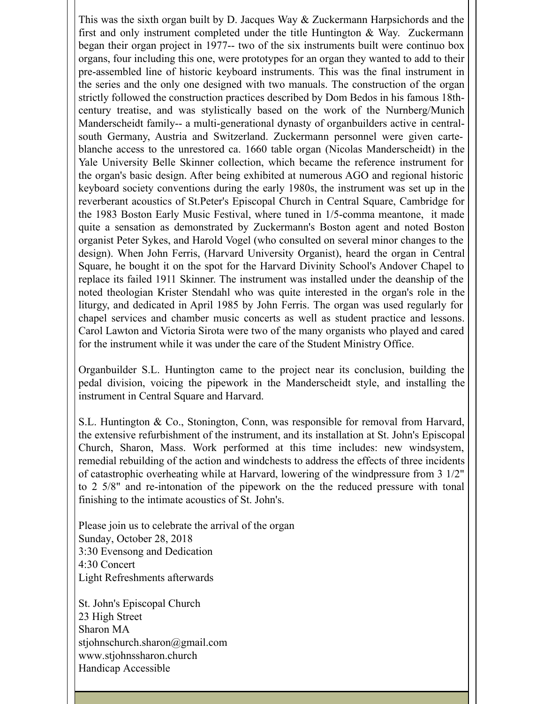This was the sixth organ built by D. Jacques Way & Zuckermann Harpsichords and the first and only instrument completed under the title Huntington & Way. Zuckermann began their organ project in 1977-- two of the six instruments built were continuo box organs, four including this one, were prototypes for an organ they wanted to add to their pre-assembled line of historic keyboard instruments. This was the final instrument in the series and the only one designed with two manuals. The construction of the organ strictly followed the construction practices described by Dom Bedos in his famous 18thcentury treatise, and was stylistically based on the work of the Nurnberg/Munich Manderscheidt family-- a multi-generational dynasty of organbuilders active in centralsouth Germany, Austria and Switzerland. Zuckermann personnel were given carteblanche access to the unrestored ca. 1660 table organ (Nicolas Manderscheidt) in the Yale University Belle Skinner collection, which became the reference instrument for the organ's basic design. After being exhibited at numerous AGO and regional historic keyboard society conventions during the early 1980s, the instrument was set up in the reverberant acoustics of St.Peter's Episcopal Church in Central Square, Cambridge for the 1983 Boston Early Music Festival, where tuned in 1/5-comma meantone, it made quite a sensation as demonstrated by Zuckermann's Boston agent and noted Boston organist Peter Sykes, and Harold Vogel (who consulted on several minor changes to the design). When John Ferris, (Harvard University Organist), heard the organ in Central Square, he bought it on the spot for the Harvard Divinity School's Andover Chapel to replace its failed 1911 Skinner. The instrument was installed under the deanship of the noted theologian Krister Stendahl who was quite interested in the organ's role in the liturgy, and dedicated in April 1985 by John Ferris. The organ was used regularly for chapel services and chamber music concerts as well as student practice and lessons. Carol Lawton and Victoria Sirota were two of the many organists who played and cared for the instrument while it was under the care of the Student Ministry Office.

Organbuilder S.L. Huntington came to the project near its conclusion, building the pedal division, voicing the pipework in the Manderscheidt style, and installing the instrument in Central Square and Harvard.

S.L. Huntington & Co., Stonington, Conn, was responsible for removal from Harvard, the extensive refurbishment of the instrument, and its installation at St. John's Episcopal Church, Sharon, Mass. Work performed at this time includes: new windsystem, remedial rebuilding of the action and windchests to address the effects of three incidents of catastrophic overheating while at Harvard, lowering of the windpressure from 3 1/2" to 2 5/8" and re-intonation of the pipework on the the reduced pressure with tonal finishing to the intimate acoustics of St. John's.

Please join us to celebrate the arrival of the organ Sunday, October 28, 2018 3:30 Evensong and Dedication 4:30 Concert Light Refreshments afterwards

St. John's Episcopal Church 23 High Street Sharon MA stjohnschurch.sharon@gmail.com www.stjohnssharon.church Handicap Accessible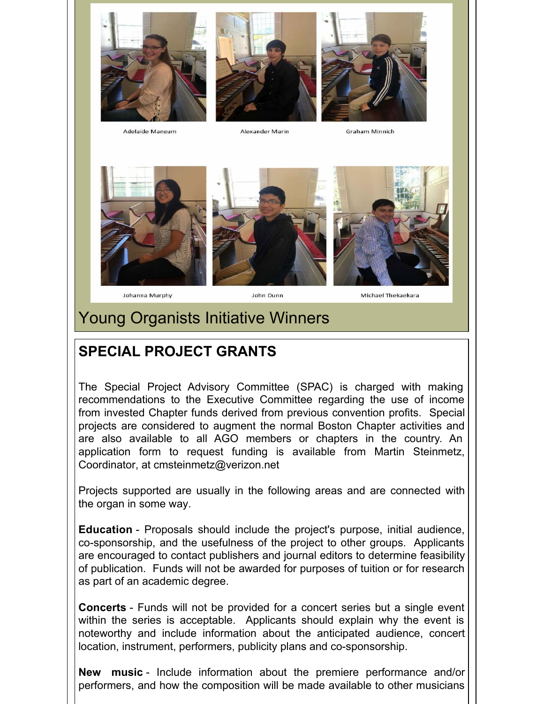





Adelaide Mangum

Alexander Marin

**Graham Minnich** 





Johanna Murphy

John Dunn

Michael Thekaekara

## Young Organists Initiative Winners

# **SPECIAL PROJECT GRANTS**

The Special Project Advisory Committee (SPAC) is charged with making recommendations to the Executive Committee regarding the use of income from invested Chapter funds derived from previous convention profits. Special projects are considered to augment the normal Boston Chapter activities and are also available to all AGO members or chapters in the country. An application form to request funding is available from Martin Steinmetz, Coordinator, at cmsteinmetz@verizon.net

Projects supported are usually in the following areas and are connected with the organ in some way.

**Education** - Proposals should include the project's purpose, initial audience, co-sponsorship, and the usefulness of the project to other groups. Applicants are encouraged to contact publishers and journal editors to determine feasibility of publication. Funds will not be awarded for purposes of tuition or for research as part of an academic degree.

**Concerts** - Funds will not be provided for a concert series but a single event within the series is acceptable. Applicants should explain why the event is noteworthy and include information about the anticipated audience, concert location, instrument, performers, publicity plans and co-sponsorship.

**New music** - Include information about the premiere performance and/or performers, and how the composition will be made available to other musicians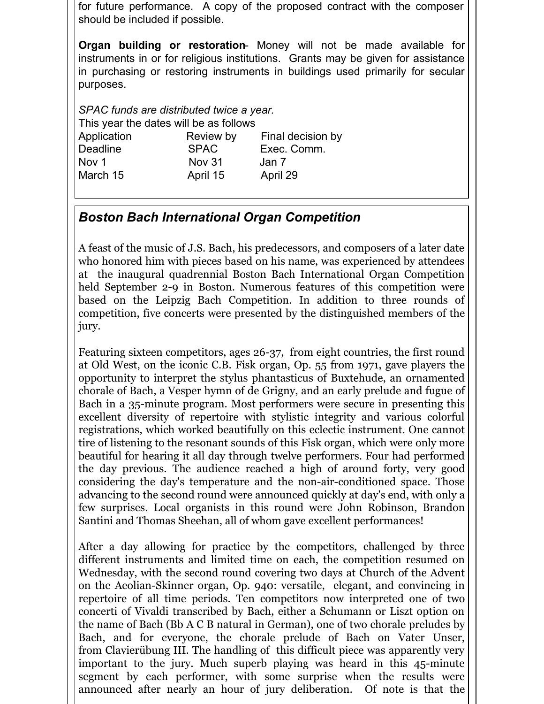for future performance. A copy of the proposed contract with the composer should be included if possible.

**Organ building or restoration**- Money will not be made available for instruments in or for religious institutions. Grants may be given for assistance in purchasing or restoring instruments in buildings used primarily for secular purposes.

*SPAC funds are distributed twice a year.* This year the dates will be as follows Application Review by Final decision by Deadline SPAC Exec. Comm. Nov 1 Nov 31 Jan 7 March 15 **April 15** April 29

### *Boston Bach International Organ Competition*

A feast of the music of J.S. Bach, his predecessors, and composers of a later date who honored him with pieces based on his name, was experienced by attendees at the inaugural quadrennial Boston Bach International Organ Competition held September 2-9 in Boston. Numerous features of this competition were based on the Leipzig Bach Competition. In addition to three rounds of competition, five concerts were presented by the distinguished members of the jury.

Featuring sixteen competitors, ages 26-37, from eight countries, the first round at Old West, on the iconic C.B. Fisk organ, Op. 55 from 1971, gave players the opportunity to interpret the stylus phantasticus of Buxtehude, an ornamented chorale of Bach, a Vesper hymn of de Grigny, and an early prelude and fugue of Bach in a 35-minute program. Most performers were secure in presenting this excellent diversity of repertoire with stylistic integrity and various colorful registrations, which worked beautifully on this eclectic instrument. One cannot tire of listening to the resonant sounds of this Fisk organ, which were only more beautiful for hearing it all day through twelve performers. Four had performed the day previous. The audience reached a high of around forty, very good considering the day's temperature and the non-air-conditioned space. Those advancing to the second round were announced quickly at day's end, with only a few surprises. Local organists in this round were John Robinson, Brandon Santini and Thomas Sheehan, all of whom gave excellent performances!

After a day allowing for practice by the competitors, challenged by three different instruments and limited time on each, the competition resumed on Wednesday, with the second round covering two days at Church of the Advent on the Aeolian-Skinner organ, Op. 940: versatile, elegant, and convincing in repertoire of all time periods. Ten competitors now interpreted one of two concerti of Vivaldi transcribed by Bach, either a Schumann or Liszt option on the name of Bach (Bb A C B natural in German), one of two chorale preludes by Bach, and for everyone, the chorale prelude of Bach on Vater Unser, from Clavierübung III. The handling of this difficult piece was apparently very important to the jury. Much superb playing was heard in this 45-minute segment by each performer, with some surprise when the results were announced after nearly an hour of jury deliberation. Of note is that the